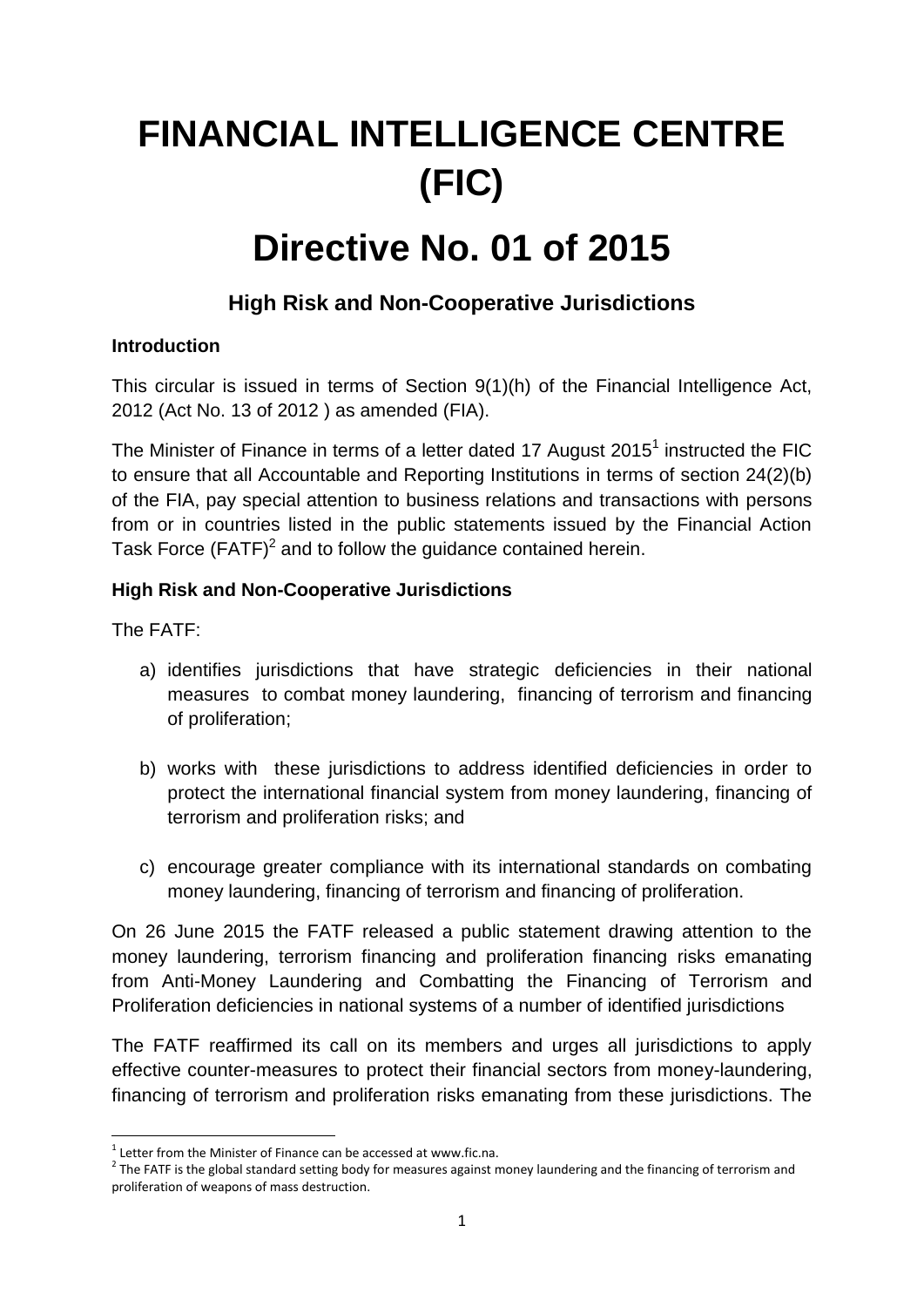# **FINANCIAL INTELLIGENCE CENTRE (FIC)**

## **Directive No. 01 of 2015**

### **High Risk and Non-Cooperative Jurisdictions**

#### **Introduction**

This circular is issued in terms of Section 9(1)(h) of the Financial Intelligence Act, 2012 (Act No. 13 of 2012 ) as amended (FIA).

The Minister of Finance in terms of a letter dated 17 August 2015<sup>1</sup> instructed the FIC to ensure that all Accountable and Reporting Institutions in terms of section 24(2)(b) of the FIA, pay special attention to business relations and transactions with persons from or in countries listed in the public statements issued by the Financial Action Task Force  $(FATF)^2$  and to follow the guidance contained herein.

#### **High Risk and Non-Cooperative Jurisdictions**

The FATF:

- a) identifies jurisdictions that have strategic deficiencies in their national measures to combat money laundering, financing of terrorism and financing of proliferation;
- b) works with these jurisdictions to address identified deficiencies in order to protect the international financial system from money laundering, financing of terrorism and proliferation risks; and
- c) encourage greater compliance with its international standards on combating money laundering, financing of terrorism and financing of proliferation.

On 26 June 2015 the FATF released a public statement drawing attention to the money laundering, terrorism financing and proliferation financing risks emanating from Anti-Money Laundering and Combatting the Financing of Terrorism and Proliferation deficiencies in national systems of a number of identified jurisdictions

The FATF reaffirmed its call on its members and urges all jurisdictions to apply effective counter-measures to protect their financial sectors from money-laundering, financing of terrorism and proliferation risks emanating from these jurisdictions. The

 1 Letter from the Minister of Finance can be accessed at www.fic.na.

 $2$  The FATF is the global standard setting body for measures against money laundering and the financing of terrorism and proliferation of weapons of mass destruction.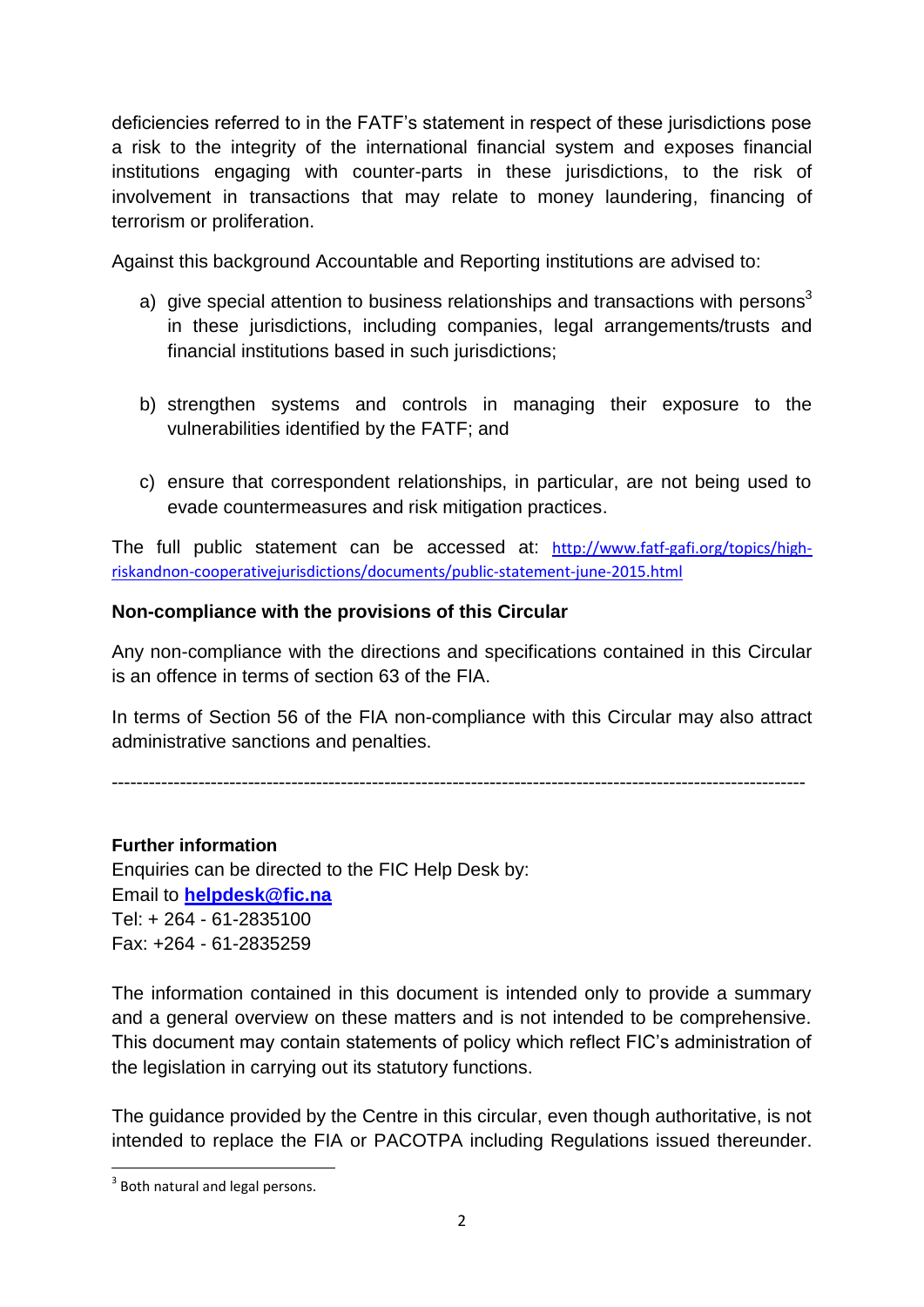deficiencies referred to in the FATF's statement in respect of these jurisdictions pose a risk to the integrity of the international financial system and exposes financial institutions engaging with counter-parts in these jurisdictions, to the risk of involvement in transactions that may relate to money laundering, financing of terrorism or proliferation.

Against this background Accountable and Reporting institutions are advised to:

- a) give special attention to business relationships and transactions with persons<sup>3</sup> in these jurisdictions, including companies, legal arrangements/trusts and financial institutions based in such jurisdictions;
- b) strengthen systems and controls in managing their exposure to the vulnerabilities identified by the FATF; and
- c) ensure that correspondent relationships, in particular, are not being used to evade countermeasures and risk mitigation practices.

The full public statement can be accessed at: [http://www.fatf-gafi.org/topics/high](http://www.fatf-gafi.org/topics/high-riskandnon-cooperativejurisdictions/documents/public-statement-june-2015.html)[riskandnon-cooperativejurisdictions/documents/public-statement-june-2015.html](http://www.fatf-gafi.org/topics/high-riskandnon-cooperativejurisdictions/documents/public-statement-june-2015.html)

#### **Non-compliance with the provisions of this Circular**

Any non-compliance with the directions and specifications contained in this Circular is an offence in terms of section 63 of the FIA.

In terms of Section 56 of the FIA non-compliance with this Circular may also attract administrative sanctions and penalties.

----------------------------------------------------------------------------------------------------------------

**Further information**  Enquiries can be directed to the FIC Help Desk by: Email to **[helpdesk@fic.na](mailto:helpdesk@fic.na)** Tel: + 264 - 61-2835100 Fax: +264 - 61-2835259

The information contained in this document is intended only to provide a summary and a general overview on these matters and is not intended to be comprehensive. This document may contain statements of policy which reflect FIC's administration of the legislation in carrying out its statutory functions.

The guidance provided by the Centre in this circular, even though authoritative, is not intended to replace the FIA or PACOTPA including Regulations issued thereunder.

**.** 

<sup>&</sup>lt;sup>3</sup> Both natural and legal persons.